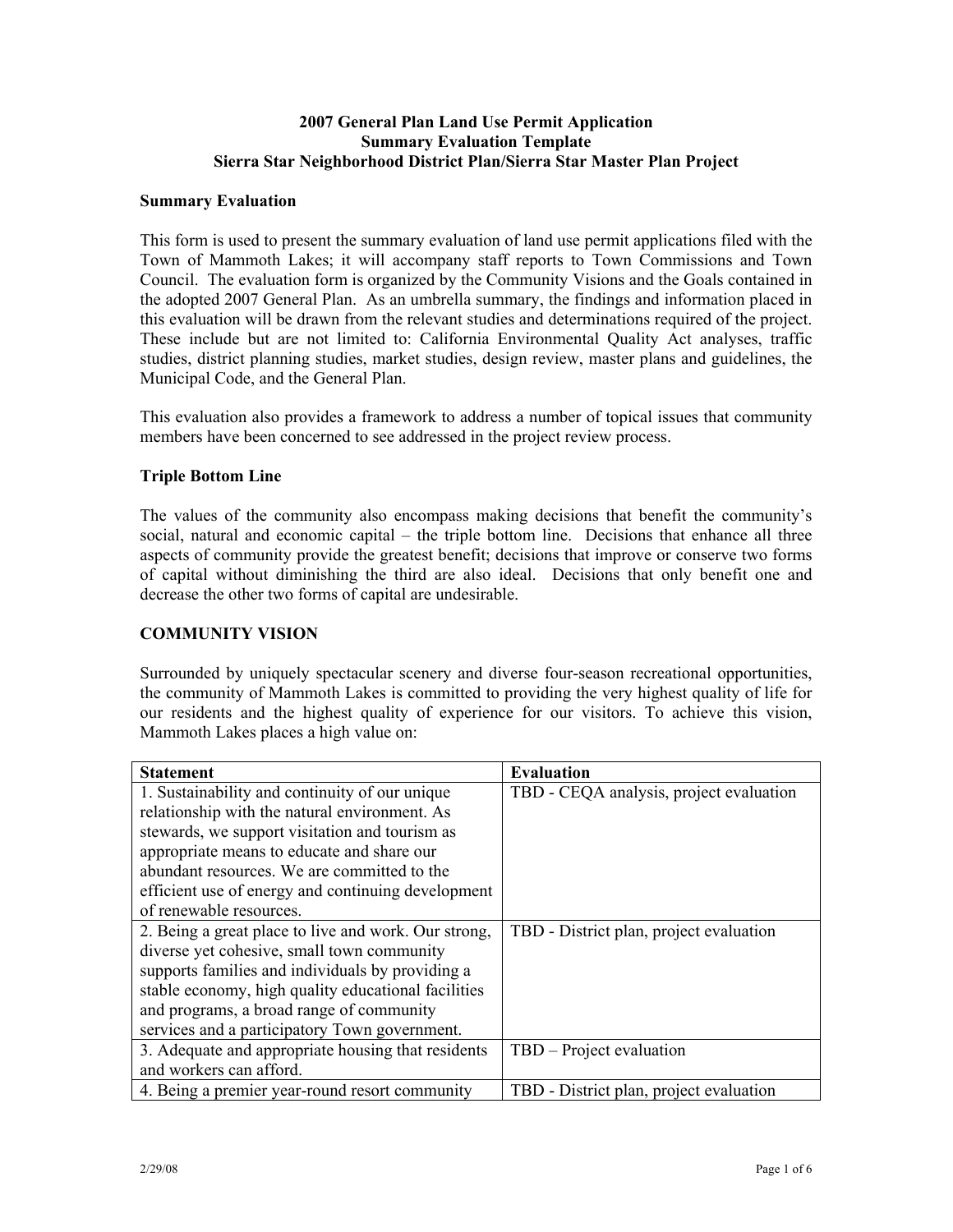#### **2007 General Plan Land Use Permit Application Summary Evaluation Template Sierra Star Neighborhood District Plan/Sierra Star Master Plan Project**

#### **Summary Evaluation**

This form is used to present the summary evaluation of land use permit applications filed with the Town of Mammoth Lakes; it will accompany staff reports to Town Commissions and Town Council. The evaluation form is organized by the Community Visions and the Goals contained in the adopted 2007 General Plan. As an umbrella summary, the findings and information placed in this evaluation will be drawn from the relevant studies and determinations required of the project. These include but are not limited to: California Environmental Quality Act analyses, traffic studies, district planning studies, market studies, design review, master plans and guidelines, the Municipal Code, and the General Plan.

This evaluation also provides a framework to address a number of topical issues that community members have been concerned to see addressed in the project review process.

#### **Triple Bottom Line**

The values of the community also encompass making decisions that benefit the community's social, natural and economic capital – the triple bottom line. Decisions that enhance all three aspects of community provide the greatest benefit; decisions that improve or conserve two forms of capital without diminishing the third are also ideal. Decisions that only benefit one and decrease the other two forms of capital are undesirable.

### **COMMUNITY VISION**

Surrounded by uniquely spectacular scenery and diverse four-season recreational opportunities, the community of Mammoth Lakes is committed to providing the very highest quality of life for our residents and the highest quality of experience for our visitors. To achieve this vision, Mammoth Lakes places a high value on:

| <b>Statement</b>                                     | <b>Evaluation</b>                       |
|------------------------------------------------------|-----------------------------------------|
| 1. Sustainability and continuity of our unique       | TBD - CEQA analysis, project evaluation |
| relationship with the natural environment. As        |                                         |
| stewards, we support visitation and tourism as       |                                         |
| appropriate means to educate and share our           |                                         |
| abundant resources. We are committed to the          |                                         |
| efficient use of energy and continuing development   |                                         |
| of renewable resources.                              |                                         |
| 2. Being a great place to live and work. Our strong, | TBD - District plan, project evaluation |
| diverse yet cohesive, small town community           |                                         |
| supports families and individuals by providing a     |                                         |
| stable economy, high quality educational facilities  |                                         |
| and programs, a broad range of community             |                                         |
| services and a participatory Town government.        |                                         |
| 3. Adequate and appropriate housing that residents   | TBD – Project evaluation                |
| and workers can afford.                              |                                         |
| 4. Being a premier year-round resort community       | TBD - District plan, project evaluation |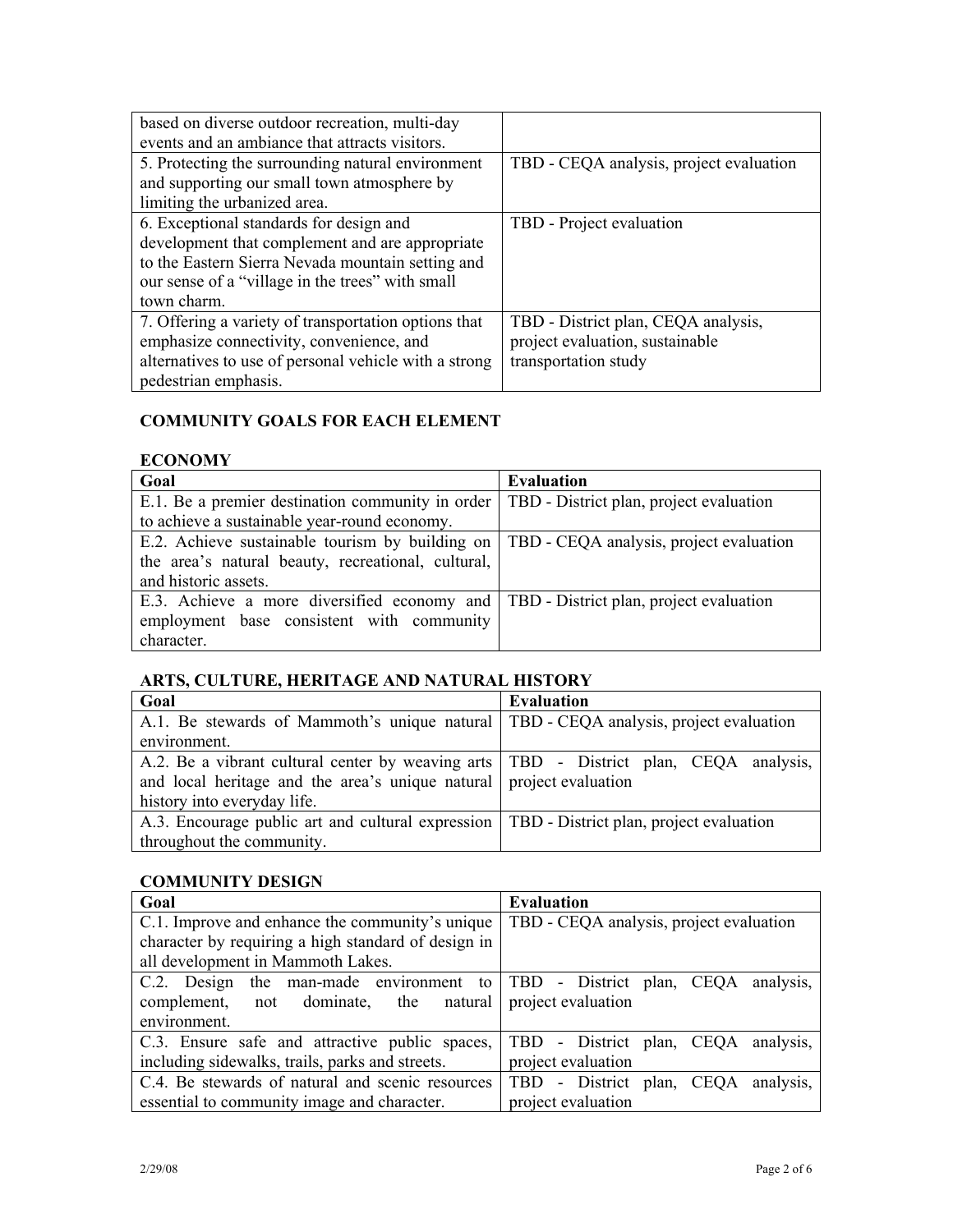| based on diverse outdoor recreation, multi-day        |                                         |
|-------------------------------------------------------|-----------------------------------------|
| events and an ambiance that attracts visitors.        |                                         |
| 5. Protecting the surrounding natural environment     | TBD - CEQA analysis, project evaluation |
| and supporting our small town atmosphere by           |                                         |
| limiting the urbanized area.                          |                                         |
| 6. Exceptional standards for design and               | TBD - Project evaluation                |
| development that complement and are appropriate       |                                         |
| to the Eastern Sierra Nevada mountain setting and     |                                         |
| our sense of a "village in the trees" with small      |                                         |
| town charm.                                           |                                         |
| 7. Offering a variety of transportation options that  | TBD - District plan, CEQA analysis,     |
| emphasize connectivity, convenience, and              | project evaluation, sustainable         |
| alternatives to use of personal vehicle with a strong | transportation study                    |
| pedestrian emphasis.                                  |                                         |

## **COMMUNITY GOALS FOR EACH ELEMENT**

# **ECONOMY**

| Goal                                                                                    | <b>Evaluation</b>                       |
|-----------------------------------------------------------------------------------------|-----------------------------------------|
| E.1. Be a premier destination community in order                                        | TBD - District plan, project evaluation |
| to achieve a sustainable year-round economy.                                            |                                         |
| E.2. Achieve sustainable tourism by building on TBD - CEQA analysis, project evaluation |                                         |
| the area's natural beauty, recreational, cultural,                                      |                                         |
| and historic assets.                                                                    |                                         |
| E.3. Achieve a more diversified economy and TBD - District plan, project evaluation     |                                         |
| employment base consistent with community                                               |                                         |
| character.                                                                              |                                         |

### **ARTS, CULTURE, HERITAGE AND NATURAL HISTORY**

| Goal                                                                                        | <b>Evaluation</b> |
|---------------------------------------------------------------------------------------------|-------------------|
| A.1. Be stewards of Mammoth's unique natural TBD - CEQA analysis, project evaluation        |                   |
| environment.                                                                                |                   |
| A.2. Be a vibrant cultural center by weaving arts   TBD - District plan, CEQA analysis,     |                   |
| and local heritage and the area's unique natural project evaluation                         |                   |
| history into everyday life.                                                                 |                   |
| A.3. Encourage public art and cultural expression   TBD - District plan, project evaluation |                   |
| throughout the community.                                                                   |                   |

### **COMMUNITY DESIGN**

| Goal                                                                        | <b>Evaluation</b>                          |
|-----------------------------------------------------------------------------|--------------------------------------------|
| C.1. Improve and enhance the community's unique                             | TBD - CEQA analysis, project evaluation    |
| character by requiring a high standard of design in                         |                                            |
| all development in Mammoth Lakes.                                           |                                            |
| C.2. Design the man-made environment to TBD - District plan, CEQA analysis, |                                            |
| complement,<br>not dominate, the natural                                    | project evaluation                         |
| environment.                                                                |                                            |
| C.3. Ensure safe and attractive public spaces,                              | TBD - District plan, CEQA analysis,        |
| including sidewalks, trails, parks and streets.                             | project evaluation                         |
| C.4. Be stewards of natural and scenic resources                            | - District plan, CEQA<br>analysis,<br>TBD. |
| essential to community image and character.                                 | project evaluation                         |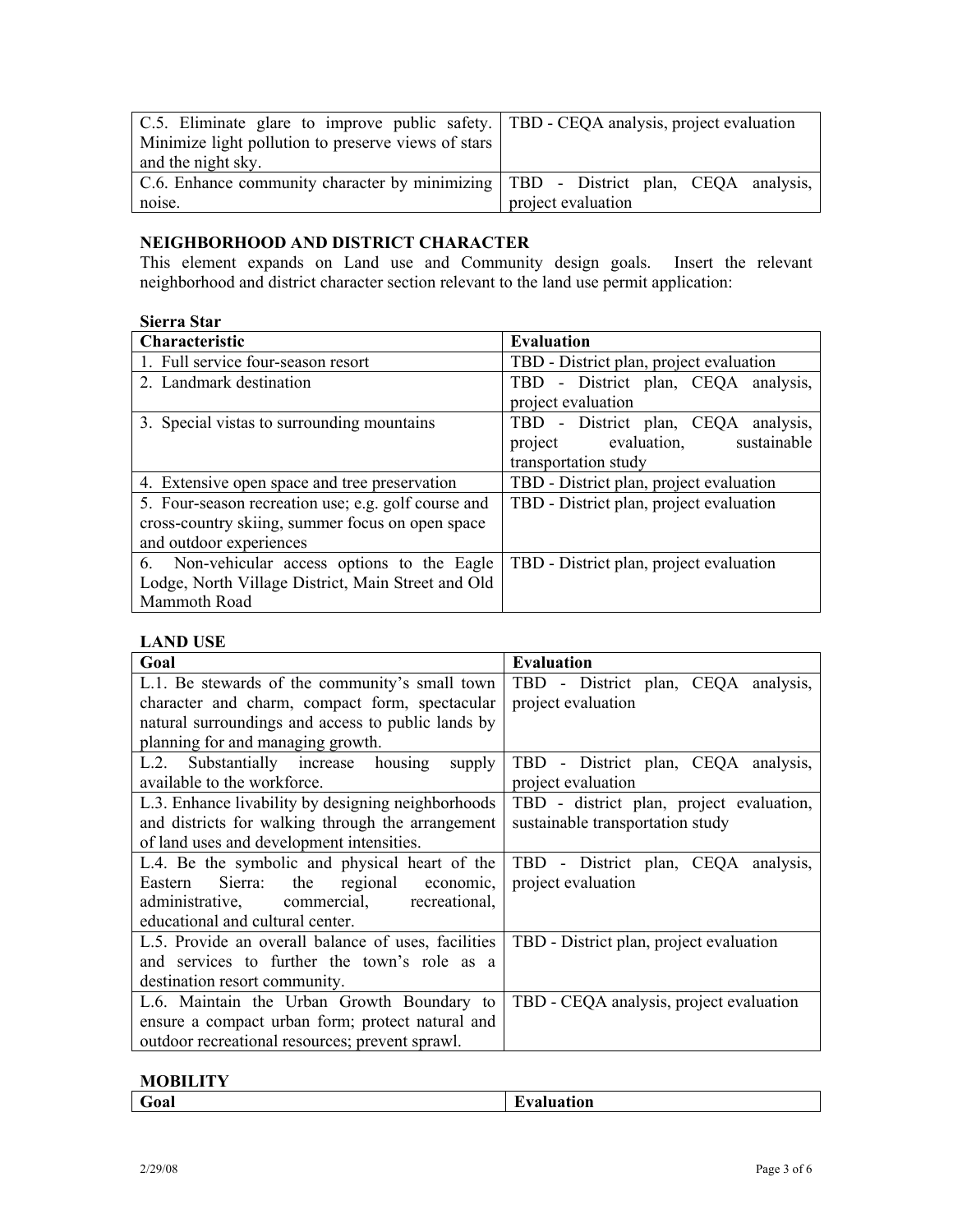| C.5. Eliminate glare to improve public safety. TBD - CEQA analysis, project evaluation |                    |
|----------------------------------------------------------------------------------------|--------------------|
| Minimize light pollution to preserve views of stars                                    |                    |
| and the night sky.                                                                     |                    |
| C.6. Enhance community character by minimizing   TBD - District plan, CEQA analysis,   |                    |
| noise.                                                                                 | project evaluation |

## **NEIGHBORHOOD AND DISTRICT CHARACTER**

This element expands on Land use and Community design goals. Insert the relevant neighborhood and district character section relevant to the land use permit application:

### **Sierra Star**

| Characteristic                                      | <b>Evaluation</b>                       |
|-----------------------------------------------------|-----------------------------------------|
| 1. Full service four-season resort                  | TBD - District plan, project evaluation |
| 2. Landmark destination                             | TBD - District plan, CEQA analysis,     |
|                                                     | project evaluation                      |
| 3. Special vistas to surrounding mountains          | TBD - District plan, CEQA analysis,     |
|                                                     | project evaluation,<br>sustainable      |
|                                                     | transportation study                    |
| 4. Extensive open space and tree preservation       | TBD - District plan, project evaluation |
| 5. Four-season recreation use; e.g. golf course and | TBD - District plan, project evaluation |
| cross-country skiing, summer focus on open space    |                                         |
| and outdoor experiences                             |                                         |
| 6. Non-vehicular access options to the Eagle        | TBD - District plan, project evaluation |
| Lodge, North Village District, Main Street and Old  |                                         |
| Mammoth Road                                        |                                         |

### **LAND USE**

| Goal                                                | <b>Evaluation</b>                        |
|-----------------------------------------------------|------------------------------------------|
| L.1. Be stewards of the community's small town      | TBD - District plan, CEQA analysis,      |
| character and charm, compact form, spectacular      | project evaluation                       |
| natural surroundings and access to public lands by  |                                          |
| planning for and managing growth.                   |                                          |
| L.2. Substantially increase housing<br>supply       | TBD - District plan, CEQA analysis,      |
| available to the workforce.                         | project evaluation                       |
| L.3. Enhance livability by designing neighborhoods  | TBD - district plan, project evaluation, |
| and districts for walking through the arrangement   | sustainable transportation study         |
| of land uses and development intensities.           |                                          |
| L.4. Be the symbolic and physical heart of the      | TBD - District plan, CEQA analysis,      |
| Sierra: the regional economic,<br>Eastern           | project evaluation                       |
| administrative, commercial, recreational,           |                                          |
| educational and cultural center.                    |                                          |
| L.5. Provide an overall balance of uses, facilities | TBD - District plan, project evaluation  |
| and services to further the town's role as a        |                                          |
| destination resort community.                       |                                          |
| L.6. Maintain the Urban Growth Boundary to          | TBD - CEQA analysis, project evaluation  |
| ensure a compact urban form; protect natural and    |                                          |
| outdoor recreational resources; prevent sprawl.     |                                          |

### **MOBILITY**

| $\sim$<br><b>FO</b> al<br>T<br>Auation | ___________ |
|----------------------------------------|-------------|
|----------------------------------------|-------------|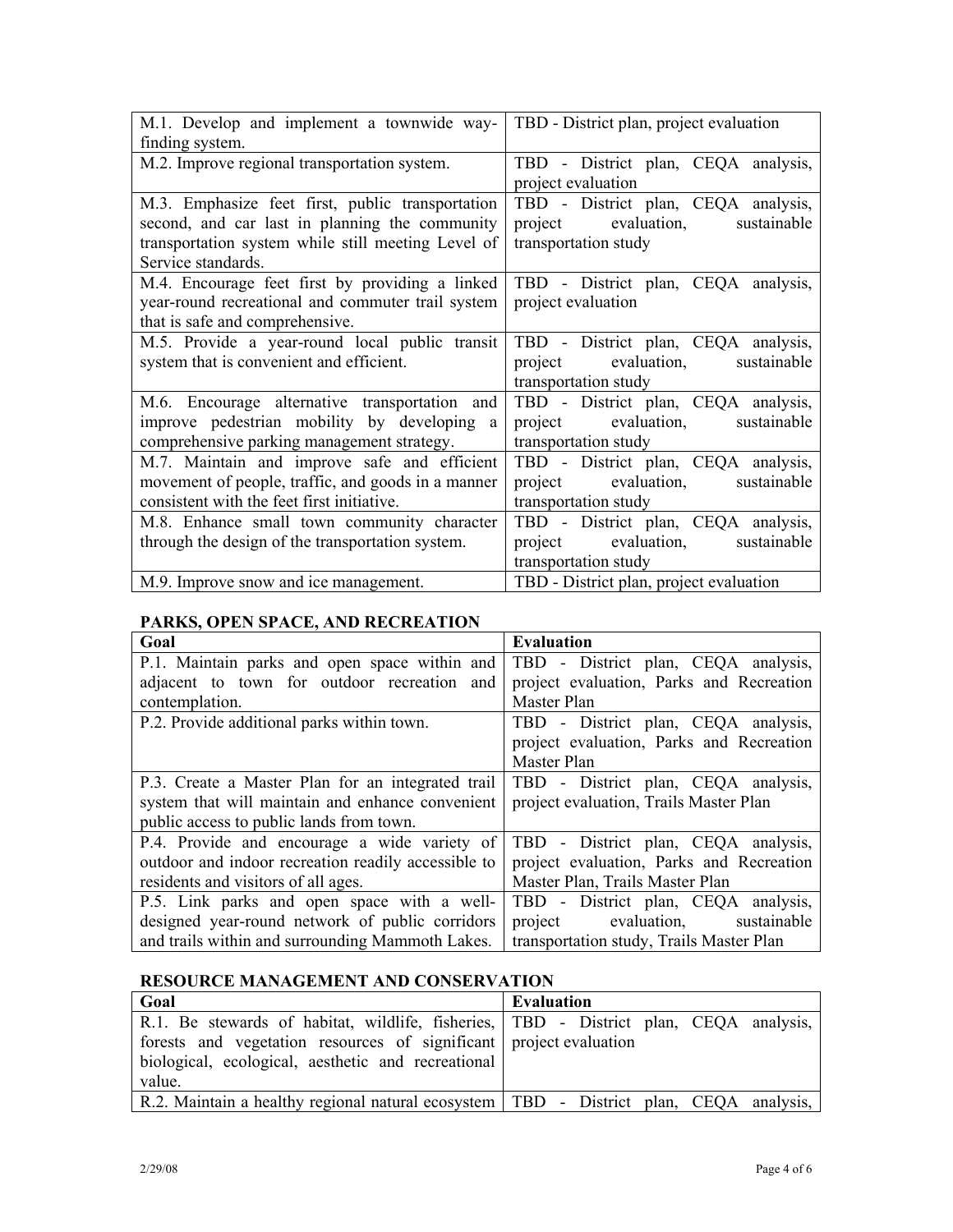| M.1. Develop and implement a townwide way-         | TBD - District plan, project evaluation |
|----------------------------------------------------|-----------------------------------------|
| finding system.                                    |                                         |
| M.2. Improve regional transportation system.       | TBD - District plan, CEQA analysis,     |
|                                                    | project evaluation                      |
| M.3. Emphasize feet first, public transportation   | TBD - District plan, CEQA analysis,     |
| second, and car last in planning the community     | project evaluation,<br>sustainable      |
| transportation system while still meeting Level of | transportation study                    |
| Service standards.                                 |                                         |
| M.4. Encourage feet first by providing a linked    | TBD - District plan, CEQA analysis,     |
| year-round recreational and commuter trail system  | project evaluation                      |
| that is safe and comprehensive.                    |                                         |
| M.5. Provide a year-round local public transit     | TBD - District plan, CEQA analysis,     |
| system that is convenient and efficient.           | evaluation, sustainable<br>project      |
|                                                    | transportation study                    |
| M.6. Encourage alternative transportation and      | TBD - District plan, CEQA analysis,     |
| improve pedestrian mobility by developing a        | project evaluation, sustainable         |
| comprehensive parking management strategy.         | transportation study                    |
| M.7. Maintain and improve safe and efficient       | TBD - District plan, CEQA analysis,     |
| movement of people, traffic, and goods in a manner | project evaluation, sustainable         |
| consistent with the feet first initiative.         | transportation study                    |
| M.8. Enhance small town community character        | TBD - District plan, CEQA analysis,     |
| through the design of the transportation system.   | evaluation,<br>sustainable<br>project   |
|                                                    | transportation study                    |
| M.9. Improve snow and ice management.              | TBD - District plan, project evaluation |

### **PARKS, OPEN SPACE, AND RECREATION**

| 11 MM of British Milled and Mocheman of             |                                          |
|-----------------------------------------------------|------------------------------------------|
| Goal                                                | <b>Evaluation</b>                        |
| P.1. Maintain parks and open space within and       | TBD - District plan, CEQA analysis,      |
| adjacent to town for outdoor recreation and         | project evaluation, Parks and Recreation |
| contemplation.                                      | Master Plan                              |
| P.2. Provide additional parks within town.          | TBD - District plan, CEQA analysis,      |
|                                                     | project evaluation, Parks and Recreation |
|                                                     | Master Plan                              |
| P.3. Create a Master Plan for an integrated trail   | TBD - District plan, CEQA analysis,      |
| system that will maintain and enhance convenient    | project evaluation, Trails Master Plan   |
| public access to public lands from town.            |                                          |
| P.4. Provide and encourage a wide variety of        | TBD - District plan, CEQA analysis,      |
| outdoor and indoor recreation readily accessible to | project evaluation, Parks and Recreation |
| residents and visitors of all ages.                 | Master Plan, Trails Master Plan          |
| P.5. Link parks and open space with a well-         | TBD - District plan, CEQA analysis,      |
| designed year-round network of public corridors     | project evaluation,<br>sustainable       |
| and trails within and surrounding Mammoth Lakes.    | transportation study, Trails Master Plan |

## **RESOURCE MANAGEMENT AND CONSERVATION**

| Goal                                                                                     | <b>Evaluation</b> |
|------------------------------------------------------------------------------------------|-------------------|
| R.1. Be stewards of habitat, wildlife, fisheries, TBD - District plan, CEQA analysis,    |                   |
| forests and vegetation resources of significant project evaluation                       |                   |
| biological, ecological, aesthetic and recreational                                       |                   |
| value.                                                                                   |                   |
| R.2. Maintain a healthy regional natural ecosystem   TBD - District plan, CEQA analysis, |                   |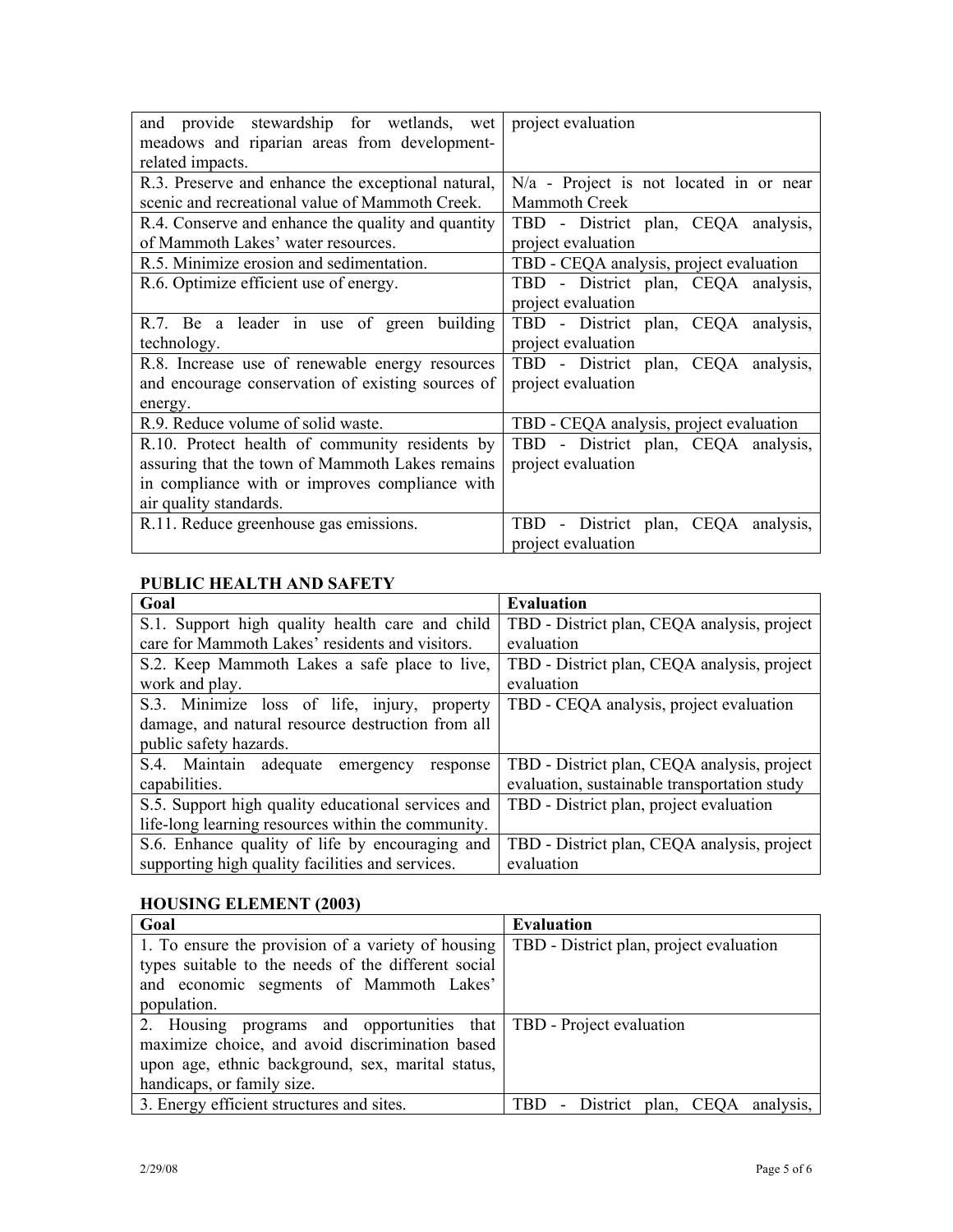| and provide stewardship for wetlands, wet          | project evaluation                        |
|----------------------------------------------------|-------------------------------------------|
| meadows and riparian areas from development-       |                                           |
| related impacts.                                   |                                           |
| R.3. Preserve and enhance the exceptional natural, | $N/a$ - Project is not located in or near |
| scenic and recreational value of Mammoth Creek.    | <b>Mammoth Creek</b>                      |
| R.4. Conserve and enhance the quality and quantity | TBD - District plan, CEQA analysis,       |
| of Mammoth Lakes' water resources.                 | project evaluation                        |
| R.5. Minimize erosion and sedimentation.           | TBD - CEQA analysis, project evaluation   |
| R.6. Optimize efficient use of energy.             | TBD - District plan, CEQA analysis,       |
|                                                    | project evaluation                        |
| R.7. Be a leader in use of green building          | TBD - District plan, CEQA analysis,       |
| technology.                                        | project evaluation                        |
| R.8. Increase use of renewable energy resources    | TBD - District plan, CEQA analysis,       |
| and encourage conservation of existing sources of  | project evaluation                        |
| energy.                                            |                                           |
| R.9. Reduce volume of solid waste.                 | TBD - CEQA analysis, project evaluation   |
| R.10. Protect health of community residents by     | TBD - District plan, CEQA analysis,       |
| assuring that the town of Mammoth Lakes remains    | project evaluation                        |
| in compliance with or improves compliance with     |                                           |
| air quality standards.                             |                                           |
| R.11. Reduce greenhouse gas emissions.             | TBD - District plan, CEQA analysis,       |
|                                                    | project evaluation                        |

# **PUBLIC HEALTH AND SAFETY**

| Goal                                               | <b>Evaluation</b>                            |
|----------------------------------------------------|----------------------------------------------|
| S.1. Support high quality health care and child    | TBD - District plan, CEQA analysis, project  |
| care for Mammoth Lakes' residents and visitors.    | evaluation                                   |
| S.2. Keep Mammoth Lakes a safe place to live,      | TBD - District plan, CEQA analysis, project  |
| work and play.                                     | evaluation                                   |
| S.3. Minimize loss of life, injury, property       | TBD - CEQA analysis, project evaluation      |
| damage, and natural resource destruction from all  |                                              |
| public safety hazards.                             |                                              |
| S.4. Maintain adequate emergency<br>response       | TBD - District plan, CEQA analysis, project  |
| capabilities.                                      | evaluation, sustainable transportation study |
| S.5. Support high quality educational services and | TBD - District plan, project evaluation      |
| life-long learning resources within the community. |                                              |
| S.6. Enhance quality of life by encouraging and    | TBD - District plan, CEQA analysis, project  |
| supporting high quality facilities and services.   | evaluation                                   |

# **HOUSING ELEMENT (2003)**

| Goal                                                                | <b>Evaluation</b>                       |
|---------------------------------------------------------------------|-----------------------------------------|
| 1. To ensure the provision of a variety of housing                  | TBD - District plan, project evaluation |
| types suitable to the needs of the different social                 |                                         |
| and economic segments of Mammoth Lakes'                             |                                         |
| population.                                                         |                                         |
| 2. Housing programs and opportunities that TBD - Project evaluation |                                         |
| maximize choice, and avoid discrimination based                     |                                         |
| upon age, ethnic background, sex, marital status,                   |                                         |
| handicaps, or family size.                                          |                                         |
| 3. Energy efficient structures and sites.                           | - District plan, CEQA analysis,<br>TBD  |